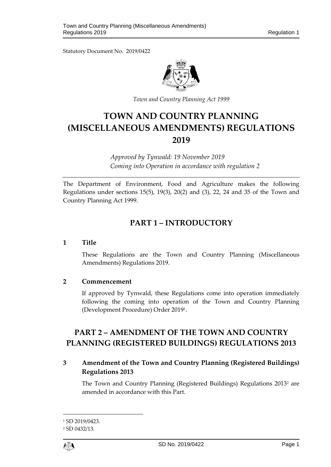Statutory Document No. 2019/0422



*Town and Country Planning Act 1999*

# **TOWN AND COUNTRY PLANNING (MISCELLANEOUS AMENDMENTS) REGULATIONS 2019**

*Approved by Tynwald: 19 November 2019 Coming into Operation in accordance with regulation 2*

The Department of Environment, Food and Agriculture makes the following Regulations under sections 15(5), 19(3), 20(2) and (3), 22, 24 and 35 of the Town and Country Planning Act 1999.

# **PART 1 – INTRODUCTORY**

## **1 Title**

These Regulations are the Town and Country Planning (Miscellaneous Amendments) Regulations 2019.

## **2 Commencement**

If approved by Tynwald, these Regulations come into operation immediately following the coming into operation of the Town and Country Planning (Development Procedure) Order 2019<sup>1</sup> .

# **PART 2 – AMENDMENT OF THE TOWN AND COUNTRY PLANNING (REGISTERED BUILDINGS) REGULATIONS 2013**

# **3 Amendment of the Town and Country Planning (Registered Buildings) Regulations 2013**

The Town and Country Planning (Registered Buildings) Regulations 2013<sup>2</sup> are amended in accordance with this Part.

 $\overline{a}$ 

<sup>1</sup> SD 2019/0423.

<sup>2</sup> SD 0432/13.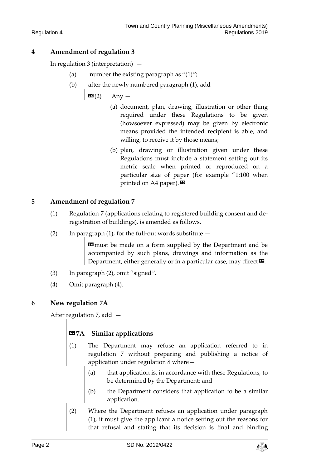In regulation 3 (interpretation)  $-$ 

- (a) number the existing paragraph as " $(1)$ ";
- (b) after the newly numbered paragraph  $(1)$ , add  $-$ 
	- $\mathbf{G}(2)$  Any
		- (a) document, plan, drawing, illustration or other thing required under these Regulations to be given (howsoever expressed) may be given by electronic means provided the intended recipient is able, and willing, to receive it by those means;
		- (b) plan, drawing or illustration given under these Regulations must include a statement setting out its metric scale when printed or reproduced on a particular size of paper (for example "1:100 when printed on A4 paper). $\mathbf{E}$

## **5 Amendment of regulation 7**

- (1) Regulation 7 (applications relating to registered building consent and deregistration of buildings), is amended as follows.
- (2) In paragraph (1), for the full-out words substitute  $-$

**E9** must be made on a form supplied by the Department and be accompanied by such plans, drawings and information as the Department, either generally or in a particular case, may direct<sup>D</sup>.

- (3) In paragraph (2), omit "signed".
- (4) Omit paragraph (4).

# **6 New regulation 7A**

After regulation 7, add —

# **«7A Similar applications**

- (1) The Department may refuse an application referred to in regulation 7 without preparing and publishing a notice of application under regulation 8 where—
	- (a) that application is, in accordance with these Regulations, to be determined by the Department; and
	- (b) the Department considers that application to be a similar application.
- (2) Where the Department refuses an application under paragraph (1), it must give the applicant a notice setting out the reasons for that refusal and stating that its decision is final and binding

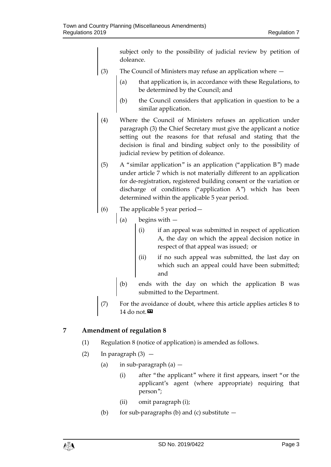subject only to the possibility of judicial review by petition of doleance.

- (3) The Council of Ministers may refuse an application where
	- (a) that application is, in accordance with these Regulations, to be determined by the Council; and
	- (b) the Council considers that application in question to be a similar application.
- (4) Where the Council of Ministers refuses an application under paragraph (3) the Chief Secretary must give the applicant a notice setting out the reasons for that refusal and stating that the decision is final and binding subject only to the possibility of judicial review by petition of doleance.
- (5) A "similar application" is an application ("application B") made under article 7 which is not materially different to an application for de-registration, registered building consent or the variation or discharge of conditions ("application A") which has been determined within the applicable 5 year period.
- (6) The applicable 5 year period—
	- (a) begins with  $$ 
		- if an appeal was submitted in respect of application A, the day on which the appeal decision notice in respect of that appeal was issued; or
		- (ii) if no such appeal was submitted, the last day on which such an appeal could have been submitted; and
	- (b) ends with the day on which the application B was submitted to the Department.
- (7) For the avoidance of doubt, where this article applies articles 8 to 14 do not. $\mathbf{D}$

# **7 Amendment of regulation 8**

- (1) Regulation 8 (notice of application) is amended as follows.
- (2) In paragraph  $(3)$ 
	- (a) in sub-paragraph (a)
		- (i) after "the applicant" where it first appears, insert "or the applicant's agent (where appropriate) requiring that person";
		- (ii) omit paragraph (i);
	- (b) for sub-paragraphs (b) and (c) substitute  $-$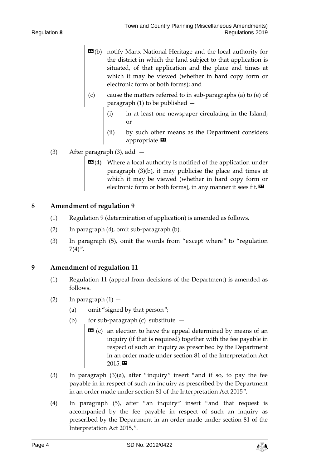- **EG**(b) notify Manx National Heritage and the local authority for the district in which the land subject to that application is situated, of that application and the place and times at which it may be viewed (whether in hard copy form or electronic form or both forms); and
- (c) cause the matters referred to in sub-paragraphs (a) to (e) of paragraph (1) to be published —
	- (i) in at least one newspaper circulating in the Island; or
	- (ii) by such other means as the Department considers appropriate. $\boldsymbol{\mathsf{E}}$ .
- (3) After paragraph (3), add
	- **Where a local authority is notified of the application under** paragraph (3)(b), it may publicise the place and times at which it may be viewed (whether in hard copy form or electronic form or both forms), in any manner it sees fit.  $\mathbf{D}$

- (1) Regulation 9 (determination of application) is amended as follows.
- (2) In paragraph (4), omit sub-paragraph (b).
- (3) In paragraph (5), omit the words from "except where" to "regulation  $7(4)$ ".

## **9 Amendment of regulation 11**

- (1) Regulation 11 (appeal from decisions of the Department) is amended as follows.
- (2) In paragraph  $(1)$ 
	- (a) omit "signed by that person";
	- (b) for sub-paragraph (c) substitute  $-$ 
		- $\alpha$  (c) an election to have the appeal determined by means of an inquiry (if that is required) together with the fee payable in respect of such an inquiry as prescribed by the Department in an order made under section 81 of the Interpretation Act 2015.»
- (3) In paragraph (3)(a), after "inquiry" insert "and if so, to pay the fee payable in in respect of such an inquiry as prescribed by the Department in an order made under section 81 of the Interpretation Act 2015".
- (4) In paragraph (5), after "an inquiry" insert "and that request is accompanied by the fee payable in respect of such an inquiry as prescribed by the Department in an order made under section 81 of the Interpretation Act 2015,".

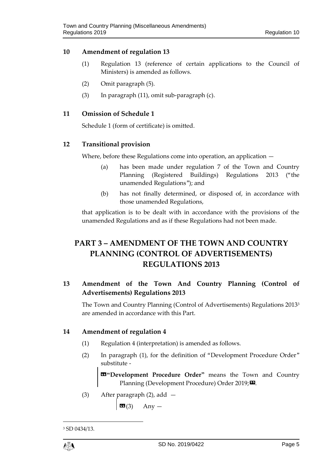- (1) Regulation 13 (reference of certain applications to the Council of Ministers) is amended as follows.
- (2) Omit paragraph (5).
- (3) In paragraph (11), omit sub-paragraph (c).

#### **11 Omission of Schedule 1**

Schedule 1 (form of certificate) is omitted.

## **12 Transitional provision**

Where, before these Regulations come into operation, an application —

- (a) has been made under regulation 7 of the Town and Country Planning (Registered Buildings) Regulations 2013 ("the unamended Regulations"); and
- (b) has not finally determined, or disposed of, in accordance with those unamended Regulations,

that application is to be dealt with in accordance with the provisions of the unamended Regulations and as if these Regulations had not been made.

# **PART 3 – AMENDMENT OF THE TOWN AND COUNTRY PLANNING (CONTROL OF ADVERTISEMENTS) REGULATIONS 2013**

# **13 Amendment of the Town And Country Planning (Control of Advertisements) Regulations 2013**

The Town and Country Planning (Control of Advertisements) Regulations 2013<sup>3</sup> are amended in accordance with this Part.

#### **14 Amendment of regulation 4**

- (1) Regulation 4 (interpretation) is amended as follows.
- (2) In paragraph (1), for the definition of "Development Procedure Order" substitute -

«**"Development Procedure Order"** means the Town and Country Planning (Development Procedure) Order 2019;

(3) After paragraph (2), add —

 $\mathbf{G}(3)$  Any —

1

<sup>3</sup> SD 0434/13.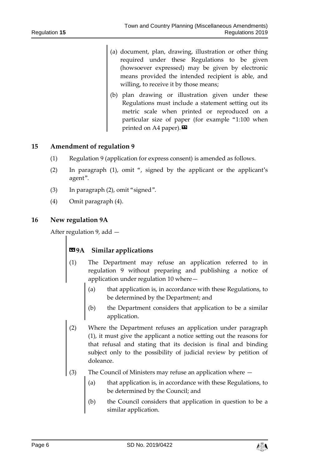- (a) document, plan, drawing, illustration or other thing required under these Regulations to be given (howsoever expressed) may be given by electronic means provided the intended recipient is able, and willing, to receive it by those means;
- (b) plan drawing or illustration given under these Regulations must include a statement setting out its metric scale when printed or reproduced on a particular size of paper (for example "1:100 when printed on A4 paper). $\boldsymbol{\mathsf{E}}$

- (1) Regulation 9 (application for express consent) is amended as follows.
- (2) In paragraph (1), omit ", signed by the applicant or the applicant's agent".
- (3) In paragraph (2), omit "signed".
- (4) Omit paragraph (4).

#### **16 New regulation 9A**

After regulation 9, add —

# **«9A Similar applications**

- (1) The Department may refuse an application referred to in regulation 9 without preparing and publishing a notice of application under regulation 10 where
	- that application is, in accordance with these Regulations, to be determined by the Department; and
	- (b) the Department considers that application to be a similar application.
- (2) Where the Department refuses an application under paragraph (1), it must give the applicant a notice setting out the reasons for that refusal and stating that its decision is final and binding subject only to the possibility of judicial review by petition of doleance.
- (3) The Council of Ministers may refuse an application where
	- (a) that application is, in accordance with these Regulations, to be determined by the Council; and
	- (b) the Council considers that application in question to be a similar application.

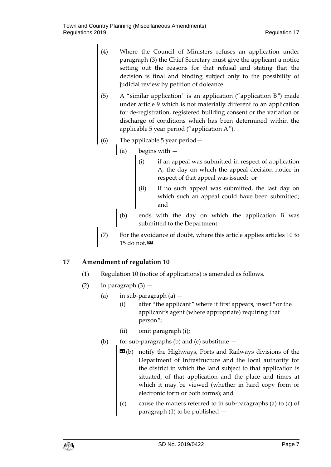- (4) Where the Council of Ministers refuses an application under paragraph (3) the Chief Secretary must give the applicant a notice setting out the reasons for that refusal and stating that the decision is final and binding subject only to the possibility of judicial review by petition of doleance.
- (5) A "similar application" is an application ("application B") made under article 9 which is not materially different to an application for de-registration, registered building consent or the variation or discharge of conditions which has been determined within the applicable 5 year period ("application A").
- (6) The applicable 5 year period—
	- (a) begins with  $-$ 
		- (i) if an appeal was submitted in respect of application A, the day on which the appeal decision notice in respect of that appeal was issued; or
		- (ii) if no such appeal was submitted, the last day on which such an appeal could have been submitted; and
		- (b) ends with the day on which the application B was submitted to the Department.
- (7) For the avoidance of doubt, where this article applies articles 10 to 15 do not. $\mathbf{E}$

- (1) Regulation 10 (notice of applications) is amended as follows.
- (2) In paragraph  $(3)$  -
	- (a) in sub-paragraph  $(a)$ 
		- (i) after "the applicant" where it first appears, insert "or the applicant's agent (where appropriate) requiring that person";
		- (ii) omit paragraph (i);
	- (b) for sub-paragraphs (b) and (c) substitute  $-$ 
		- **EG**(b) notify the Highways, Ports and Railways divisions of the Department of Infrastructure and the local authority for the district in which the land subject to that application is situated, of that application and the place and times at which it may be viewed (whether in hard copy form or electronic form or both forms); and
		- (c) cause the matters referred to in sub-paragraphs (a) to (c) of paragraph (1) to be published —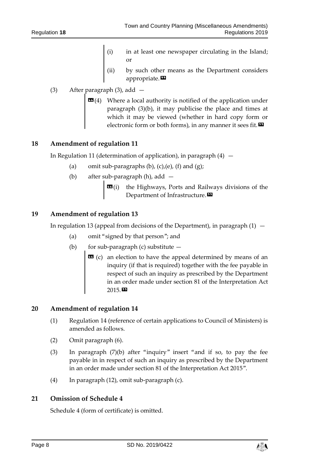- in at least one newspaper circulating in the Island; or
- (ii) by such other means as the Department considers appropriate.<sup>DD</sup>

# (3) After paragraph (3), add —

 $\mathbf{G}(4)$  Where a local authority is notified of the application under paragraph (3)(b), it may publicise the place and times at which it may be viewed (whether in hard copy form or electronic form or both forms), in any manner it sees fit.  $\boldsymbol{\Sigma}$ 

## **18 Amendment of regulation 11**

In Regulation 11 (determination of application), in paragraph  $(4)$  –

- (a) omit sub-paragraphs  $(b)$ ,  $(c)$ ,  $(e)$ ,  $(f)$  and  $(g)$ ;
- (b) after sub-paragraph (h), add
	- **the Highways, Ports and Railways divisions of the** Department of Infrastructure.

## **19 Amendment of regulation 13**

In regulation 13 (appeal from decisions of the Department), in paragraph  $(1)$  -

- (a) omit "signed by that person"; and
- (b) for sub-paragraph (c) substitute  $-$ 
	- $\bullet$  (c) an election to have the appeal determined by means of an inquiry (if that is required) together with the fee payable in respect of such an inquiry as prescribed by the Department in an order made under section 81 of the Interpretation Act 2015.»

## **20 Amendment of regulation 14**

- (1) Regulation 14 (reference of certain applications to Council of Ministers) is amended as follows.
- (2) Omit paragraph (6).
- (3) In paragraph (7)(b) after "inquiry" insert "and if so, to pay the fee payable in in respect of such an inquiry as prescribed by the Department in an order made under section 81 of the Interpretation Act 2015".
- (4) In paragraph (12), omit sub-paragraph (c).

## **21 Omission of Schedule 4**

Schedule 4 (form of certificate) is omitted.

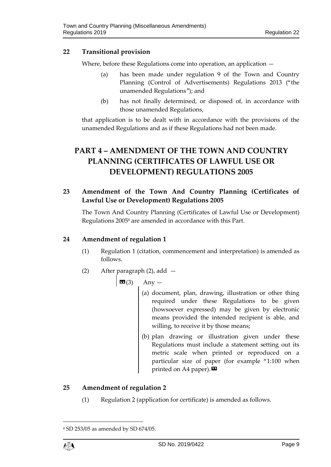# **22 Transitional provision**

Where, before these Regulations come into operation, an application —

- (a) has been made under regulation 9 of the Town and Country Planning (Control of Advertisements) Regulations 2013 ("the unamended Regulations"); and
- (b) has not finally determined, or disposed of, in accordance with those unamended Regulations,

that application is to be dealt with in accordance with the provisions of the unamended Regulations and as if these Regulations had not been made.

# **PART 4 – AMENDMENT OF THE TOWN AND COUNTRY PLANNING (CERTIFICATES OF LAWFUL USE OR DEVELOPMENT) REGULATIONS 2005**

# **23 Amendment of the Town And Country Planning (Certificates of Lawful Use or Development) Regulations 2005**

The Town And Country Planning (Certificates of Lawful Use or Development) Regulations 2005<sup>4</sup> are amended in accordance with this Part.

# **24 Amendment of regulation 1**

- (1) Regulation 1 (citation, commencement and interpretation) is amended as follows.
- (2) After paragraph (2), add —

 $\boxed{\mathbf{G}(3)}$  Any —

- (a) document, plan, drawing, illustration or other thing required under these Regulations to be given (howsoever expressed) may be given by electronic means provided the intended recipient is able, and willing, to receive it by those means;
- (b) plan drawing or illustration given under these Regulations must include a statement setting out its metric scale when printed or reproduced on a particular size of paper (for example "1:100 when printed on A4 paper). $\mathbf{\Sigma}$

# **25 Amendment of regulation 2**

(1) Regulation 2 (application for certificate) is amended as follows.

1

<sup>4</sup> SD 253/05 as amended by SD 674/05.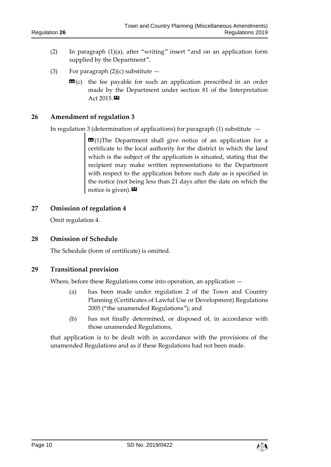- (2) In paragraph (1)(a), after "writing" insert "and on an application form supplied by the Department".
- (3) For paragraph  $(2)(c)$  substitute  $$ 
	- **the fee payable for such an application prescribed in an order** made by the Department under section 81 of the Interpretation Act 2015.

In regulation 3 (determination of applications) for paragraph  $(1)$  substitute  $-$ 

 $\text{1}$ (1)The Department shall give notice of an application for a certificate to the local authority for the district in which the land which is the subject of the application is situated, stating that the recipient may make written representations to the Department with respect to the application before such date as is specified in the notice (not being less than 21 days after the date on which the notice is given). $\mathbf{E}$ 

#### **27 Omission of regulation 4**

Omit regulation 4.

#### **28 Omission of Schedule**

The Schedule (form of certificate) is omitted.

#### **29 Transitional provision**

Where, before these Regulations come into operation, an application —

- (a) has been made under regulation 2 of the Town and Country Planning (Certificates of Lawful Use or Development) Regulations 2005 ("the unamended Regulations"); and
- (b) has not finally determined, or disposed of, in accordance with those unamended Regulations,

that application is to be dealt with in accordance with the provisions of the unamended Regulations and as if these Regulations had not been made.

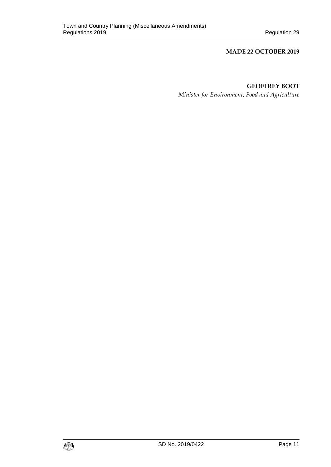#### **MADE 22 OCTOBER 2019**

# **GEOFFREY BOOT**

*Minister for Environment, Food and Agriculture*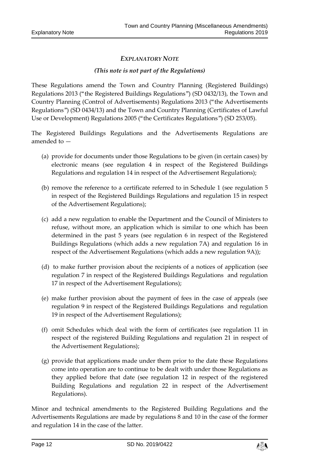# *EXPLANATORY NOTE*

#### *(This note is not part of the Regulations)*

These Regulations amend the Town and Country Planning (Registered Buildings) Regulations 2013 ("the Registered Buildings Regulations") (SD 0432/13), the Town and Country Planning (Control of Advertisements) Regulations 2013 ("the Advertisements Regulations") (SD 0434/13) and the Town and Country Planning (Certificates of Lawful Use or Development) Regulations 2005 ("the Certificates Regulations") (SD 253/05).

The Registered Buildings Regulations and the Advertisements Regulations are amended to —

- (a) provide for documents under those Regulations to be given (in certain cases) by electronic means (see regulation 4 in respect of the Registered Buildings Regulations and regulation 14 in respect of the Advertisement Regulations);
- (b) remove the reference to a certificate referred to in Schedule 1 (see regulation 5 in respect of the Registered Buildings Regulations and regulation 15 in respect of the Advertisement Regulations);
- (c) add a new regulation to enable the Department and the Council of Ministers to refuse, without more, an application which is similar to one which has been determined in the past 5 years (see regulation 6 in respect of the Registered Buildings Regulations (which adds a new regulation 7A) and regulation 16 in respect of the Advertisement Regulations (which adds a new regulation 9A));
- (d) to make further provision about the recipients of a notices of application (see regulation 7 in respect of the Registered Buildings Regulations and regulation 17 in respect of the Advertisement Regulations);
- (e) make further provision about the payment of fees in the case of appeals (see regulation 9 in respect of the Registered Buildings Regulations and regulation 19 in respect of the Advertisement Regulations);
- (f) omit Schedules which deal with the form of certificates (see regulation 11 in respect of the registered Building Regulations and regulation 21 in respect of the Advertisement Regulations);
- (g) provide that applications made under them prior to the date these Regulations come into operation are to continue to be dealt with under those Regulations as they applied before that date (see regulation 12 in respect of the registered Building Regulations and regulation 22 in respect of the Advertisement Regulations).

Minor and technical amendments to the Registered Building Regulations and the Advertisements Regulations are made by regulations 8 and 10 in the case of the former and regulation 14 in the case of the latter.